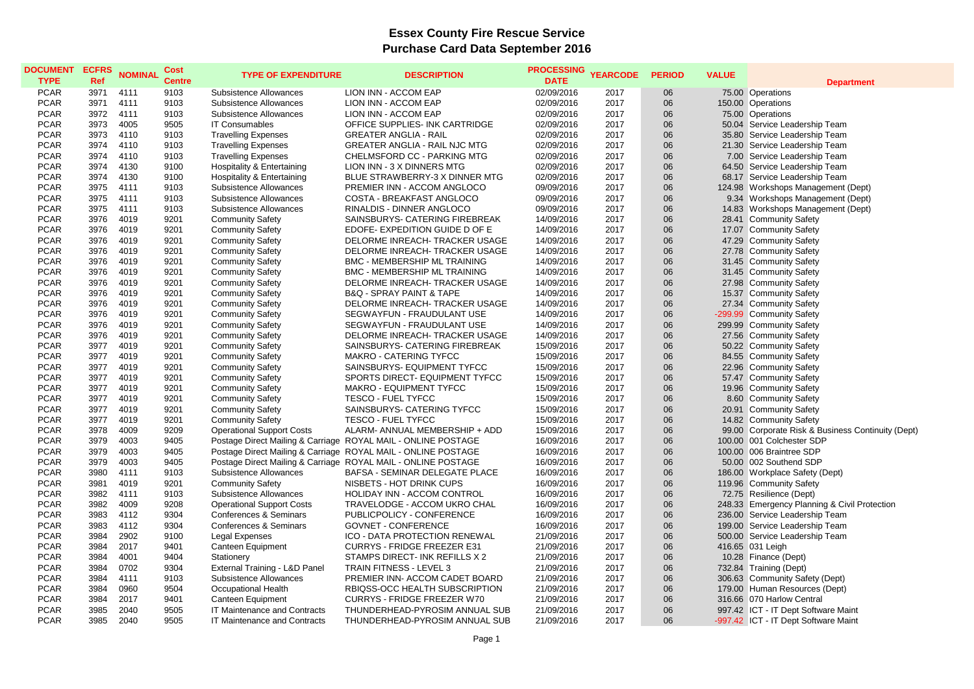## **Essex County Fire Rescue Service Purchase Card Data September 2016**

| <b>DOCUMENT</b><br><b>TYPE</b> | <b>ECFRS</b><br>Ref | <b>NOMINAL</b> | Cost<br><b>Centre</b> | <b>TYPE OF EXPENDITURE</b>       | <b>DESCRIPTION</b>                                            | <b>PROCESSING</b><br><b>DATE</b> | <b>YEARCODE</b> | <b>PERIOD</b> | <b>VALUE</b> | <b>Department</b>                                 |
|--------------------------------|---------------------|----------------|-----------------------|----------------------------------|---------------------------------------------------------------|----------------------------------|-----------------|---------------|--------------|---------------------------------------------------|
| <b>PCAR</b>                    | 3971                | 4111           | 9103                  | <b>Subsistence Allowances</b>    | LION INN - ACCOM EAP                                          | 02/09/2016                       | 2017            | 06            |              | 75.00 Operations                                  |
| <b>PCAR</b>                    | 3971                | 4111           | 9103                  | Subsistence Allowances           | LION INN - ACCOM EAP                                          | 02/09/2016                       | 2017            | 06            |              | 150.00 Operations                                 |
| <b>PCAR</b>                    | 3972                | 4111           | 9103                  | Subsistence Allowances           | LION INN - ACCOM EAP                                          | 02/09/2016                       | 2017            | 06            |              | 75.00 Operations                                  |
| <b>PCAR</b>                    | 3973                | 4005           | 9505                  | <b>IT Consumables</b>            | OFFICE SUPPLIES- INK CARTRIDGE                                | 02/09/2016                       | 2017            | 06            |              | 50.04 Service Leadership Team                     |
| <b>PCAR</b>                    | 3973                | 4110           | 9103                  | <b>Travelling Expenses</b>       | <b>GREATER ANGLIA - RAIL</b>                                  | 02/09/2016                       | 2017            | 06            |              | 35.80 Service Leadership Team                     |
| <b>PCAR</b>                    | 3974                | 4110           | 9103                  | <b>Travelling Expenses</b>       | <b>GREATER ANGLIA - RAIL NJC MTG</b>                          | 02/09/2016                       | 2017            | 06            |              | 21.30 Service Leadership Team                     |
| <b>PCAR</b>                    | 3974                | 4110           | 9103                  | <b>Travelling Expenses</b>       | CHELMSFORD CC - PARKING MTG                                   | 02/09/2016                       | 2017            | 06            |              | 7.00 Service Leadership Team                      |
| <b>PCAR</b>                    | 3974                | 4130           | 9100                  | Hospitality & Entertaining       | LION INN - 3 X DINNERS MTG                                    | 02/09/2016                       | 2017            | 06            |              | 64.50 Service Leadership Team                     |
| <b>PCAR</b>                    | 3974                | 4130           | 9100                  | Hospitality & Entertaining       | BLUE STRAWBERRY-3 X DINNER MTG                                | 02/09/2016                       | 2017            | 06            |              | 68.17 Service Leadership Team                     |
| <b>PCAR</b>                    | 3975                | 4111           | 9103                  | Subsistence Allowances           | PREMIER INN - ACCOM ANGLOCO                                   | 09/09/2016                       | 2017            | 06            |              | 124.98 Workshops Management (Dept)                |
| <b>PCAR</b>                    | 3975                | 4111           | 9103                  | Subsistence Allowances           | COSTA - BREAKFAST ANGLOCO                                     | 09/09/2016                       | 2017            | 06            |              | 9.34 Workshops Management (Dept)                  |
| <b>PCAR</b>                    | 3975                | 4111           | 9103                  | Subsistence Allowances           | RINALDIS - DINNER ANGLOCO                                     | 09/09/2016                       | 2017            | 06            |              | 14.83 Workshops Management (Dept)                 |
| <b>PCAR</b>                    | 3976                | 4019           | 9201                  | <b>Community Safety</b>          | SAINSBURYS- CATERING FIREBREAK                                | 14/09/2016                       | 2017            | 06            |              | 28.41 Community Safety                            |
| <b>PCAR</b>                    | 3976                | 4019           | 9201                  | <b>Community Safety</b>          | EDOFE- EXPEDITION GUIDE D OF E                                | 14/09/2016                       | 2017            | 06            |              | 17.07 Community Safety                            |
| <b>PCAR</b>                    | 3976                | 4019           | 9201                  | <b>Community Safety</b>          | DELORME INREACH- TRACKER USAGE                                | 14/09/2016                       | 2017            | 06            |              | 47.29 Community Safety                            |
| <b>PCAR</b>                    | 3976                | 4019           | 9201                  | <b>Community Safety</b>          | DELORME INREACH- TRACKER USAGE                                | 14/09/2016                       | 2017            | 06            |              | 27.78 Community Safety                            |
| <b>PCAR</b>                    | 3976                | 4019           | 9201                  | <b>Community Safety</b>          | <b>BMC - MEMBERSHIP ML TRAINING</b>                           | 14/09/2016                       | 2017            | 06            |              | 31.45 Community Safety                            |
| <b>PCAR</b>                    | 3976                | 4019           | 9201                  | <b>Community Safety</b>          | <b>BMC - MEMBERSHIP ML TRAINING</b>                           | 14/09/2016                       | 2017            | 06            |              | 31.45 Community Safety                            |
| <b>PCAR</b>                    | 3976                | 4019           | 9201                  | <b>Community Safety</b>          | DELORME INREACH- TRACKER USAGE                                | 14/09/2016                       | 2017            | 06            |              | 27.98 Community Safety                            |
| <b>PCAR</b>                    | 3976                | 4019           | 9201                  | <b>Community Safety</b>          | <b>B&amp;Q - SPRAY PAINT &amp; TAPE</b>                       | 14/09/2016                       | 2017            | 06            |              | 15.37 Community Safety                            |
| <b>PCAR</b>                    | 3976                | 4019           | 9201                  | <b>Community Safety</b>          | DELORME INREACH- TRACKER USAGE                                | 14/09/2016                       | 2017            | 06            |              | 27.34 Community Safety                            |
| <b>PCAR</b>                    | 3976                | 4019           | 9201                  | <b>Community Safety</b>          | SEGWAYFUN - FRAUDULANT USE                                    | 14/09/2016                       | 2017            | 06            |              | -299.99 Community Safety                          |
| <b>PCAR</b>                    | 3976                | 4019           | 9201                  | <b>Community Safety</b>          | SEGWAYFUN - FRAUDULANT USE                                    | 14/09/2016                       | 2017            | 06            |              | 299.99 Community Safety                           |
| <b>PCAR</b>                    | 3976                | 4019           | 9201                  | <b>Community Safety</b>          | DELORME INREACH- TRACKER USAGE                                | 14/09/2016                       | 2017            | 06            |              | 27.56 Community Safety                            |
| <b>PCAR</b>                    | 3977                | 4019           | 9201                  | <b>Community Safety</b>          | SAINSBURYS- CATERING FIREBREAK                                | 15/09/2016                       | 2017            | 06            |              | 50.22 Community Safety                            |
| <b>PCAR</b>                    | 3977                | 4019           | 9201                  | <b>Community Safety</b>          | <b>MAKRO - CATERING TYFCC</b>                                 | 15/09/2016                       | 2017            | 06            |              | 84.55 Community Safety                            |
| <b>PCAR</b>                    | 3977                | 4019           | 9201                  | <b>Community Safety</b>          | SAINSBURYS- EQUIPMENT TYFCC                                   | 15/09/2016                       | 2017            | 06            |              | 22.96 Community Safety                            |
| <b>PCAR</b>                    | 3977                | 4019           | 9201                  | <b>Community Safety</b>          | SPORTS DIRECT- EQUIPMENT TYFCC                                | 15/09/2016                       | 2017            | 06            |              | 57.47 Community Safety                            |
| <b>PCAR</b>                    | 3977                | 4019           | 9201                  | <b>Community Safety</b>          | <b>MAKRO - EQUIPMENT TYFCC</b>                                | 15/09/2016                       | 2017            | 06            |              | 19.96 Community Safety                            |
| <b>PCAR</b>                    | 3977                | 4019           | 9201                  | <b>Community Safety</b>          | <b>TESCO - FUEL TYFCC</b>                                     | 15/09/2016                       | 2017            | 06            |              | 8.60 Community Safety                             |
| <b>PCAR</b>                    | 3977                | 4019           | 9201                  | <b>Community Safety</b>          | SAINSBURYS- CATERING TYFCC                                    | 15/09/2016                       | 2017            | 06            |              | 20.91 Community Safety                            |
| <b>PCAR</b>                    | 3977                | 4019           | 9201                  | <b>Community Safety</b>          | <b>TESCO - FUEL TYFCC</b>                                     | 15/09/2016                       | 2017            | 06            |              | 14.82 Community Safety                            |
| <b>PCAR</b>                    | 3978                | 4009           | 9209                  | <b>Operational Support Costs</b> | ALARM- ANNUAL MEMBERSHIP + ADD                                | 15/09/2016                       | 2017            | 06            |              | 99.00 Corporate Risk & Business Continuity (Dept) |
| <b>PCAR</b>                    | 3979                | 4003           | 9405                  |                                  | Postage Direct Mailing & Carriage ROYAL MAIL - ONLINE POSTAGE | 16/09/2016                       | 2017            | 06            |              | 100.00 001 Colchester SDP                         |
| <b>PCAR</b>                    | 3979                | 4003           | 9405                  |                                  | Postage Direct Mailing & Carriage ROYAL MAIL - ONLINE POSTAGE | 16/09/2016                       | 2017            | 06            |              | 100.00 006 Braintree SDP                          |
| <b>PCAR</b>                    | 3979                | 4003           | 9405                  |                                  | Postage Direct Mailing & Carriage ROYAL MAIL - ONLINE POSTAGE | 16/09/2016                       | 2017            | 06            |              | 50.00 002 Southend SDP                            |
| <b>PCAR</b>                    | 3980                | 4111           | 9103                  | Subsistence Allowances           | BAFSA - SEMINAR DELEGATE PLACE                                | 16/09/2016                       | 2017            | 06            |              | 186.00 Workplace Safety (Dept)                    |
| <b>PCAR</b>                    | 3981                | 4019           | 9201                  | <b>Community Safety</b>          | NISBETS - HOT DRINK CUPS                                      | 16/09/2016                       | 2017            | 06            |              | 119.96 Community Safety                           |
| <b>PCAR</b>                    | 3982                | 4111           | 9103                  | Subsistence Allowances           | <b>HOLIDAY INN - ACCOM CONTROL</b>                            | 16/09/2016                       | 2017            | 06            |              | 72.75 Resilience (Dept)                           |
| <b>PCAR</b>                    | 3982                | 4009           | 9208                  | <b>Operational Support Costs</b> | TRAVELODGE - ACCOM UKRO CHAL                                  | 16/09/2016                       | 2017            | 06            |              | 248.33 Emergency Planning & Civil Protection      |
| <b>PCAR</b>                    | 3983                | 4112           | 9304                  | Conferences & Seminars           | PUBLICPOLICY - CONFERENCE                                     | 16/09/2016                       | 2017            | 06            |              | 236.00 Service Leadership Team                    |
| <b>PCAR</b>                    | 3983                | 4112           | 9304                  | Conferences & Seminars           | <b>GOVNET - CONFERENCE</b>                                    | 16/09/2016                       | 2017            | 06            |              | 199.00 Service Leadership Team                    |
| <b>PCAR</b>                    | 3984                | 2902           | 9100                  | Legal Expenses                   | ICO - DATA PROTECTION RENEWAL                                 | 21/09/2016                       | 2017            | 06            |              | 500.00 Service Leadership Team                    |
| <b>PCAR</b>                    | 3984                | 2017           | 9401                  | Canteen Equipment                | <b>CURRYS - FRIDGE FREEZER E31</b>                            | 21/09/2016                       | 2017            | 06            |              | 416.65 031 Leigh                                  |
| <b>PCAR</b>                    | 3984                | 4001           | 9404                  | Stationery                       | STAMPS DIRECT- INK REFILLS X 2                                | 21/09/2016                       | 2017            | 06            |              | 10.28 Finance (Dept)                              |
| <b>PCAR</b>                    | 3984                | 0702           | 9304                  | External Training - L&D Panel    | TRAIN FITNESS - LEVEL 3                                       | 21/09/2016                       | 2017            | 06            |              | 732.84 Training (Dept)                            |
| <b>PCAR</b>                    | 3984                | 4111           | 9103                  | Subsistence Allowances           | PREMIER INN- ACCOM CADET BOARD                                | 21/09/2016                       | 2017            | 06            |              | 306.63 Community Safety (Dept)                    |
| <b>PCAR</b>                    | 3984                | 0960           | 9504                  | <b>Occupational Health</b>       | RBIQSS-OCC HEALTH SUBSCRIPTION                                | 21/09/2016                       | 2017            | 06            |              | 179.00 Human Resources (Dept)                     |
| <b>PCAR</b>                    | 3984                | 2017           | 9401                  | Canteen Equipment                | <b>CURRYS - FRIDGE FREEZER W70</b>                            | 21/09/2016                       | 2017            | 06            |              | 316.66 070 Harlow Central                         |
| <b>PCAR</b>                    | 3985                | 2040           | 9505                  | IT Maintenance and Contracts     | THUNDERHEAD-PYROSIM ANNUAL SUB                                | 21/09/2016                       | 2017            | 06            |              | 997.42 ICT - IT Dept Software Maint               |
| <b>PCAR</b>                    | 3985                | 2040           | 9505                  | IT Maintenance and Contracts     | THUNDERHEAD-PYROSIM ANNUAL SUB                                | 21/09/2016                       | 2017            | 06            |              | -997.42 ICT - IT Dept Software Maint              |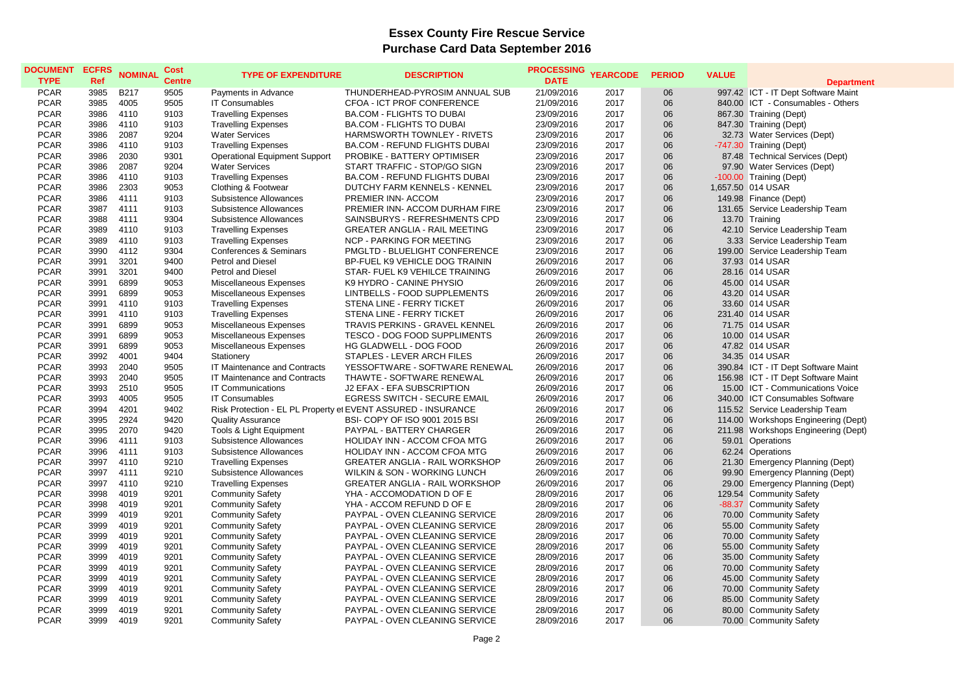## **Essex County Fire Rescue Service Purchase Card Data September 2016**

| <b>DOCUMENT</b><br><b>TYPE</b> | <b>ECFRS</b><br><b>Ref</b> | <b>NOMINAL</b> | <b>Cost</b><br><b>Centre</b> | <b>TYPE OF EXPENDITURE</b>           | <b>DESCRIPTION</b>                                            | <b>PROCESSING</b><br><b>DATE</b> | <b>YEARCODE</b> | <b>PERIOD</b> | <b>VALUE</b> |                                     |
|--------------------------------|----------------------------|----------------|------------------------------|--------------------------------------|---------------------------------------------------------------|----------------------------------|-----------------|---------------|--------------|-------------------------------------|
|                                |                            |                |                              |                                      |                                                               |                                  |                 |               |              | <b>Department</b>                   |
| <b>PCAR</b>                    | 3985                       | <b>B217</b>    | 9505                         | Payments in Advance                  | THUNDERHEAD-PYROSIM ANNUAL SUB                                | 21/09/2016                       | 2017            | 06            |              | 997.42 ICT - IT Dept Software Maint |
| <b>PCAR</b>                    | 3985                       | 4005           | 9505                         | <b>IT Consumables</b>                | CFOA - ICT PROF CONFERENCE                                    | 21/09/2016                       | 2017            | 06            |              | 840.00 ICT - Consumables - Others   |
| <b>PCAR</b>                    | 3986                       | 4110           | 9103                         | <b>Travelling Expenses</b>           | <b>BA.COM - FLIGHTS TO DUBAI</b>                              | 23/09/2016                       | 2017            | 06            |              | 867.30 Training (Dept)              |
| <b>PCAR</b>                    | 3986                       | 4110           | 9103                         | <b>Travelling Expenses</b>           | <b>BA.COM - FLIGHTS TO DUBAI</b>                              | 23/09/2016                       | 2017            | 06            |              | 847.30 Training (Dept)              |
| <b>PCAR</b>                    | 3986                       | 2087           | 9204                         | <b>Water Services</b>                | HARMSWORTH TOWNLEY - RIVETS                                   | 23/09/2016                       | 2017            | 06            |              | 32.73 Water Services (Dept)         |
| <b>PCAR</b>                    | 3986                       | 4110           | 9103                         | <b>Travelling Expenses</b>           | <b>BA.COM - REFUND FLIGHTS DUBAI</b>                          | 23/09/2016                       | 2017            | 06            |              | -747.30 Training (Dept)             |
| <b>PCAR</b>                    | 3986                       | 2030           | 9301                         | <b>Operational Equipment Support</b> | PROBIKE - BATTERY OPTIMISER                                   | 23/09/2016                       | 2017            | 06            |              | 87.48 Technical Services (Dept)     |
| <b>PCAR</b>                    | 3986                       | 2087           | 9204                         | <b>Water Services</b>                | START TRAFFIC - STOP/GO SIGN                                  | 23/09/2016                       | 2017            | 06            |              | 97.90 Water Services (Dept)         |
| <b>PCAR</b>                    | 3986                       | 4110           | 9103                         | <b>Travelling Expenses</b>           | <b>BA.COM - REFUND FLIGHTS DUBAI</b>                          | 23/09/2016                       | 2017            | 06            |              | -100.00 Training (Dept)             |
| <b>PCAR</b>                    | 3986                       | 2303           | 9053                         | Clothing & Footwear                  | DUTCHY FARM KENNELS - KENNEL                                  | 23/09/2016                       | 2017            | 06            |              | 1,657.50 014 USAR                   |
| <b>PCAR</b>                    | 3986                       | 4111           | 9103                         | Subsistence Allowances               | PREMIER INN- ACCOM                                            | 23/09/2016                       | 2017            | 06            |              | 149.98 Finance (Dept)               |
| <b>PCAR</b>                    | 3987                       | 4111           | 9103                         | Subsistence Allowances               | PREMIER INN- ACCOM DURHAM FIRE                                | 23/09/2016                       | 2017            | 06            |              | 131.65 Service Leadership Team      |
| <b>PCAR</b>                    | 3988                       | 4111           | 9304                         | Subsistence Allowances               | SAINSBURYS - REFRESHMENTS CPD                                 | 23/09/2016                       | 2017            | 06            |              | 13.70 Training                      |
| <b>PCAR</b>                    | 3989                       | 4110           | 9103                         | <b>Travelling Expenses</b>           | <b>GREATER ANGLIA - RAIL MEETING</b>                          | 23/09/2016                       | 2017            | 06            |              | 42.10 Service Leadership Team       |
| <b>PCAR</b>                    | 3989                       | 4110           | 9103                         | <b>Travelling Expenses</b>           | <b>NCP - PARKING FOR MEETING</b>                              | 23/09/2016                       | 2017            | 06            |              | 3.33 Service Leadership Team        |
| <b>PCAR</b>                    | 3990                       | 4112           | 9304                         | Conferences & Seminars               | PMGLTD - BLUELIGHT CONFERENCE                                 | 23/09/2016                       | 2017            | 06            |              | 199.00 Service Leadership Team      |
| <b>PCAR</b>                    | 3991                       | 3201           | 9400                         | Petrol and Diesel                    | BP-FUEL K9 VEHICLE DOG TRAININ                                | 26/09/2016                       | 2017            | 06            |              | 37.93 014 USAR                      |
| <b>PCAR</b>                    | 3991                       | 3201           | 9400                         | Petrol and Diesel                    | STAR- FUEL K9 VEHILCE TRAINING                                | 26/09/2016                       | 2017            | 06            |              | 28.16 014 USAR                      |
| <b>PCAR</b>                    | 3991                       | 6899           | 9053                         | Miscellaneous Expenses               | K9 HYDRO - CANINE PHYSIO                                      | 26/09/2016                       | 2017            | 06            |              | 45.00 014 USAR                      |
| <b>PCAR</b>                    | 3991                       | 6899           | 9053                         | Miscellaneous Expenses               | LINTBELLS - FOOD SUPPLEMENTS                                  | 26/09/2016                       | 2017            | 06            |              | 43.20 014 USAR                      |
| <b>PCAR</b>                    | 3991                       | 4110           | 9103                         | <b>Travelling Expenses</b>           | STENA LINE - FERRY TICKET                                     | 26/09/2016                       | 2017            | 06            |              | 33.60 014 USAR                      |
| <b>PCAR</b>                    | 3991                       | 4110           | 9103                         | <b>Travelling Expenses</b>           | STENA LINE - FERRY TICKET                                     | 26/09/2016                       | 2017            | 06            |              | 231.40 014 USAR                     |
| <b>PCAR</b>                    | 3991                       | 6899           | 9053                         | Miscellaneous Expenses               | <b>TRAVIS PERKINS - GRAVEL KENNEL</b>                         | 26/09/2016                       | 2017            | 06            |              | 71.75 014 USAR                      |
| <b>PCAR</b>                    | 3991                       | 6899           | 9053                         | Miscellaneous Expenses               | <b>TESCO - DOG FOOD SUPPLIMENTS</b>                           | 26/09/2016                       | 2017            | 06            |              | 10.00 014 USAR                      |
| <b>PCAR</b>                    | 3991                       | 6899           | 9053                         | Miscellaneous Expenses               | HG GLADWELL - DOG FOOD                                        | 26/09/2016                       | 2017            | 06            |              | 47.82 014 USAR                      |
| <b>PCAR</b>                    | 3992                       | 4001           | 9404                         | Stationery                           | STAPLES - LEVER ARCH FILES                                    | 26/09/2016                       | 2017            | 06            |              | 34.35 014 USAR                      |
| <b>PCAR</b>                    | 3993                       | 2040           | 9505                         | IT Maintenance and Contracts         | YESSOFTWARE - SOFTWARE RENEWAL                                | 26/09/2016                       | 2017            | 06            |              | 390.84 ICT - IT Dept Software Maint |
| <b>PCAR</b>                    | 3993                       | 2040           | 9505                         | IT Maintenance and Contracts         | THAWTE - SOFTWARE RENEWAL                                     | 26/09/2016                       | 2017            | 06            |              | 156.98 ICT - IT Dept Software Maint |
| <b>PCAR</b>                    | 3993                       | 2510           | 9505                         | <b>IT Communications</b>             | J2 EFAX - EFA SUBSCRIPTION                                    | 26/09/2016                       | 2017            | 06            |              | 15.00 ICT - Communications Voice    |
| <b>PCAR</b>                    | 3993                       | 4005           | 9505                         | <b>IT Consumables</b>                | <b>EGRESS SWITCH - SECURE EMAIL</b>                           | 26/09/2016                       | 2017            | 06            |              | 340.00 ICT Consumables Software     |
| <b>PCAR</b>                    | 3994                       | 4201           | 9402                         |                                      | Risk Protection - EL PL Property et EVENT ASSURED - INSURANCE | 26/09/2016                       | 2017            | 06            |              | 115.52 Service Leadership Team      |
| <b>PCAR</b>                    | 3995                       | 2924           | 9420                         | <b>Quality Assurance</b>             | BSI- COPY OF ISO 9001 2015 BSI                                | 26/09/2016                       | 2017            | 06            |              | 114.00 Workshops Engineering (Dept) |
| <b>PCAR</b>                    | 3995                       | 2070           | 9420                         | Tools & Light Equipment              | PAYPAL - BATTERY CHARGER                                      | 26/09/2016                       | 2017            | 06            |              | 211.98 Workshops Engineering (Dept) |
| <b>PCAR</b>                    | 3996                       | 4111           | 9103                         | Subsistence Allowances               | HOLIDAY INN - ACCOM CFOA MTG                                  | 26/09/2016                       | 2017            | 06            |              | 59.01 Operations                    |
| <b>PCAR</b>                    | 3996                       | 4111           | 9103                         | Subsistence Allowances               | HOLIDAY INN - ACCOM CFOA MTG                                  | 26/09/2016                       | 2017            | 06            |              | 62.24 Operations                    |
| <b>PCAR</b>                    | 3997                       | 4110           | 9210                         | <b>Travelling Expenses</b>           | <b>GREATER ANGLIA - RAIL WORKSHOP</b>                         | 26/09/2016                       | 2017            | 06            |              | 21.30 Emergency Planning (Dept)     |
| <b>PCAR</b>                    | 3997                       | 4111           | 9210                         | Subsistence Allowances               | WILKIN & SON - WORKING LUNCH                                  | 26/09/2016                       | 2017            | 06            |              | 99.90 Emergency Planning (Dept)     |
| <b>PCAR</b>                    | 3997                       | 4110           | 9210                         | <b>Travelling Expenses</b>           | <b>GREATER ANGLIA - RAIL WORKSHOP</b>                         | 26/09/2016                       | 2017            | 06            |              | 29.00 Emergency Planning (Dept)     |
| <b>PCAR</b>                    | 3998                       | 4019           | 9201                         | <b>Community Safety</b>              | YHA - ACCOMODATION D OF E                                     | 28/09/2016                       | 2017            | 06            |              | 129.54 Community Safety             |
| <b>PCAR</b>                    | 3998                       | 4019           | 9201                         | <b>Community Safety</b>              | YHA - ACCOM REFUND D OF E                                     | 28/09/2016                       | 2017            | 06            |              | -88.37 Community Safety             |
| <b>PCAR</b>                    | 3999                       | 4019           | 9201                         | <b>Community Safety</b>              | PAYPAL - OVEN CLEANING SERVICE                                | 28/09/2016                       | 2017            | 06            |              | 70.00 Community Safety              |
| <b>PCAR</b>                    | 3999                       | 4019           | 9201                         | <b>Community Safety</b>              | PAYPAL - OVEN CLEANING SERVICE                                | 28/09/2016                       | 2017            | 06            |              | 55.00 Community Safety              |
| <b>PCAR</b>                    | 3999                       | 4019           | 9201                         | <b>Community Safety</b>              | PAYPAL - OVEN CLEANING SERVICE                                | 28/09/2016                       | 2017            | 06            |              | 70.00 Community Safety              |
| <b>PCAR</b>                    | 3999                       | 4019           | 9201                         | <b>Community Safety</b>              | PAYPAL - OVEN CLEANING SERVICE                                | 28/09/2016                       | 2017            | 06            |              | 55.00 Community Safety              |
| <b>PCAR</b>                    | 3999                       | 4019           | 9201                         | <b>Community Safety</b>              | PAYPAL - OVEN CLEANING SERVICE                                | 28/09/2016                       | 2017            | 06            |              | 35.00 Community Safety              |
| <b>PCAR</b>                    | 3999                       | 4019           | 9201                         | <b>Community Safety</b>              | PAYPAL - OVEN CLEANING SERVICE                                | 28/09/2016                       | 2017            | 06            |              | 70.00 Community Safety              |
| <b>PCAR</b>                    | 3999                       | 4019           | 9201                         | <b>Community Safety</b>              | PAYPAL - OVEN CLEANING SERVICE                                | 28/09/2016                       | 2017            | 06            |              | 45.00 Community Safety              |
| <b>PCAR</b>                    | 3999                       | 4019           | 9201                         | <b>Community Safety</b>              | PAYPAL - OVEN CLEANING SERVICE                                | 28/09/2016                       | 2017            | 06            |              | 70.00 Community Safety              |
| <b>PCAR</b>                    |                            | 4019           |                              |                                      |                                                               |                                  |                 | 06            |              |                                     |
|                                | 3999                       |                | 9201                         | <b>Community Safety</b>              | PAYPAL - OVEN CLEANING SERVICE                                | 28/09/2016                       | 2017            |               |              | 85.00 Community Safety              |
| <b>PCAR</b>                    | 3999                       | 4019           | 9201                         | <b>Community Safety</b>              | PAYPAL - OVEN CLEANING SERVICE                                | 28/09/2016                       | 2017            | 06            |              | 80.00 Community Safety              |
| <b>PCAR</b>                    | 3999                       | 4019           | 9201                         | <b>Community Safety</b>              | PAYPAL - OVEN CLEANING SERVICE                                | 28/09/2016                       | 2017            | 06            |              | 70.00 Community Safety              |